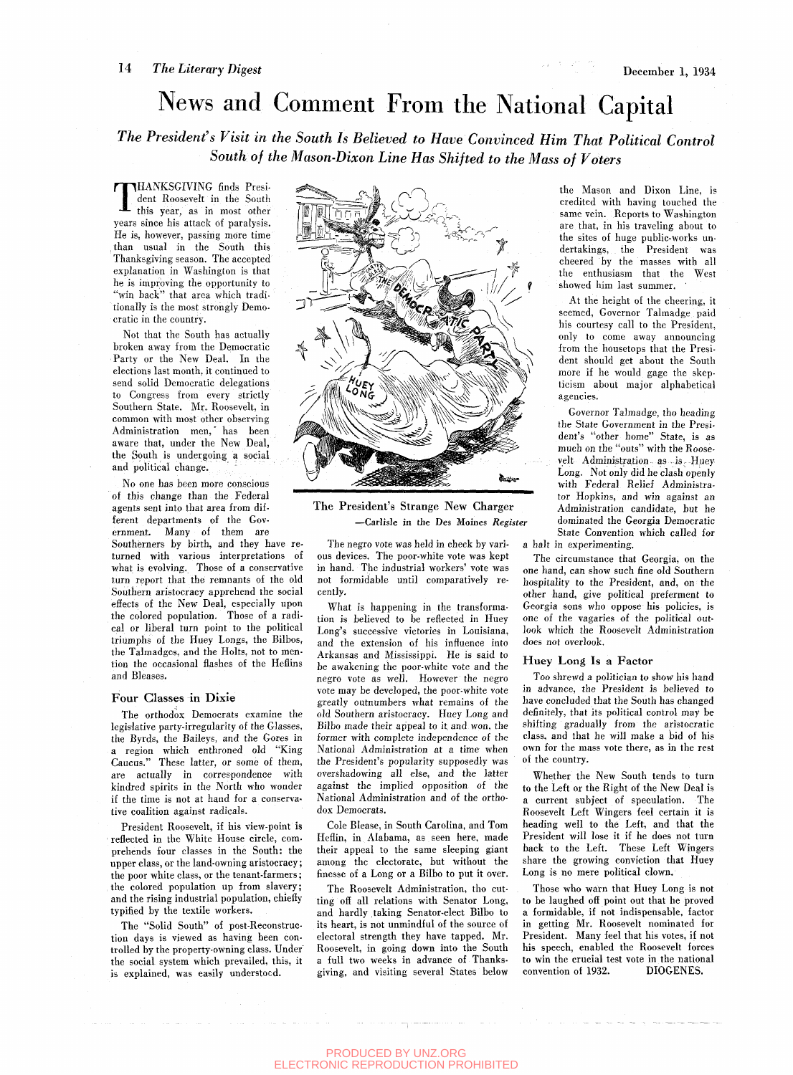## News and Comment From the National Capital

*The President's Visit in the South Is Believed to Have Convinced Him That Political Control South of the Mason-Dixon Line Has Shifted to the Mass of Voters* 

T HANKSGIVING finds President Roosevelt in the South this year, as in most other years since his attack of paralysis. He is, however, passing more time than usual in the South this Thanksgiving season. The accepted explanation in Washington is that he is improving the opportunity to "win back" that area which traditionally is the most strongly Democratic in the country.

Not that the South has actually broken away from the Democratic Party or the New Deal. In the elections last month, it continued to send solid Democratic delegations to Congress from every strictly Southern State. Mr. Roosevelt, in common with most other observing Administration men,' has been aware that, under the New Deal, the South is undergoing a social and political change.

No one has been more conscious of this change than the Federal agents sent into that area from different departments of the Government. Many of them are Southerners by birth, and they have returned with various interpretations of what is evolving. Those of a conservative turn report that the remnants of the old Southern aristocracy apprehend the social effects of the New Deal, especially upon the colored population. Those of a radical or liberal turn point to the political triumphs of the Huey Longs, the Bilbos, the Talmadges, and the Holts, not to mention the occasional flashes of the Heflins and Bleases.

#### Four Classes in Dixie

The orthodox Democrats examine the legislative party-irregularity of the Glasses, the Byrds, the Baileys, and the Gores in a region which enthroned old "King Caucus." These latter, or some of them, are actually in correspondence with kindred spirits in the North who wonder if the time is not at hand for a conservative coalition against radicals.

President Roosevelt, if his view-point is reflected in the White House circle, comprehends four classes in the South: the upper class, or the land-owning aristocracy; the poor white class, or the tenant-farmers; the colored population up from slavery; and the rising industrial population, chiefly typified by the textile workers.

The "Solid South" of post-Reconstruction days is viewed as having been controlled by the property-owning class. Under^ the social system which prevailed, this, it is explained, was easily understood.



The President's Strange New Charger —Carlisle in the Des Moines *Register* 

The negro vote was held in check by various devices. The poor-white vote was kept in hand. The industrial workers' vote was not formidable until comparatively recently.

What is happening in the transformation is believed to be reflected in Huey Long's successive victories in Louisiana, and the extension of his influence into Arkansas and Mississippi. He is said to be awakening the poor-white vote and the negro vote as well. However the negro vote may be developed, the poor-white vote greatly outnumbers what remains of the old Southern aristocracy. Huey Long and Bilbo made their appeal to it and won, the former with complete independence of the National Administration at a time when the President's popularity supposedly was overshadowing all else, and the latter against the implied opposition of the National Administration and of the orthodox Democrats.

Cole Blease, in South Carolina, and Tom Heflin, in Alabama, as seen here, made their appeal to the same sleeping giant among the electorate, but without the finesse of a Long or a Bilbo to put it over.

The Roosevelt Administration, tho cutting off all relations with Senator Long, and hardly taking Senator-elect Bilbo to its heart, is not unmindful of the source of electoral strength they have tapped. Mr. Roosevelt, in going down into the South a full two weeks in advance of Thanksgiving, and visiting several States below

the Mason and Dixon Line, is credited with having touched the same vein. Reports to Washington are that, in his traveling about to the sites of huge public-works undertakings, the President was cheered by the masses with all the enthusiasm that the West showed him last summer. '

At the height of the cheering, it seemed. Governor Talmadge paid his courtesy call to the President, only to come away announcing from the housetops that the President should get about the South more if he would gage the skepticism about major alphabetical agencies.

Governor Talmadge, tho heading the State Government in the President's "other home" State, is as much on the "outs" with the Roosevelt Administration as is. Huey Long. Not only did he clash openly with Federal Relief Administrator Hopkins, and win against an Administration candidate, but he dominated the Georgia Democratic State Convention which called for a halt in experimenting.

The circumstance that Georgia, on the one hand, can show such fine old Southern hospitality to the President, and, on the other hand, give political preferment to Georgia sons who oppose his policies, is one of the vagaries of the political outlook which the Roosevelt Administration does not overlook.

### **Huey Long Is a Factor**

Too shrewd a politician to show his hand in advance, the President is believed to have concluded that the South has changed definitely, that its political control may be shifting gradually from the aristocratic class, and that he will make a bid of his own for the mass vote there, as in the rest of the country.

Whether the New South tends to turn to the Left or the Right of the New Deal is a current subject of speculation. The Roosevelt Left Wingers feel certain it is heading well to the Left, and that the President will lose it if he does not turn back to the Left. These Left Wingers share the growing conviction that Huey Long is no mere political clown.

Those who warn that Huey Long is not to be laughed off point out that he proved a formidable, if not indispensable, factor in getting Mr. Roosevelt nominated for President. Many feel that his votes, if not his speech, enabled the Roosevelt forces to win the crucial test vote in the national convention of 1932. DIOGENES.

المتحادث والمحادث والمتحادث والمتحدث